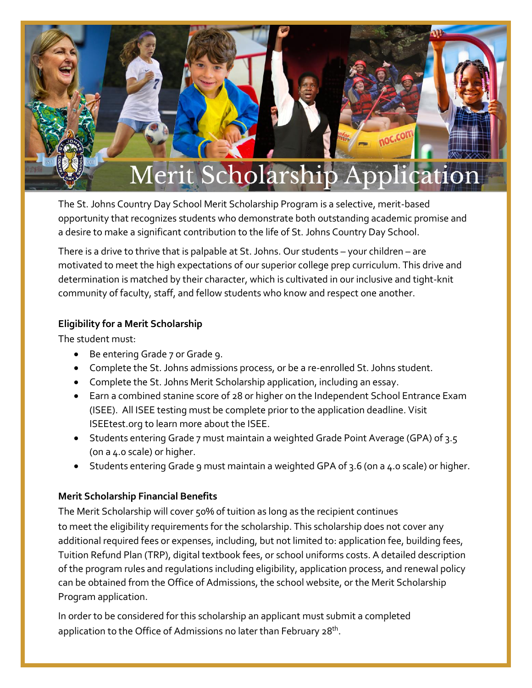

The St. Johns Country Day School Merit Scholarship Program is a selective, merit-based opportunity that recognizes students who demonstrate both outstanding academic promise and a desire to make a significant contribution to the life of St. Johns Country Day School.

There is a drive to thrive that is palpable at St. Johns. Our students – your children – are motivated to meet the high expectations of our superior college prep curriculum. This drive and determination is matched by their character, which is cultivated in our inclusive and tight-knit community of faculty, staff, and fellow students who know and respect one another.

## **Eligibility for a Merit Scholarship**

The student must:

- Be entering Grade 7 or Grade 9.
- Complete the St. Johns admissions process, or be a re-enrolled St. Johns student.
- Complete the St. Johns Merit Scholarship application, including an essay.
- Earn a combined stanine score of 28 or higher on the Independent School Entrance Exam (ISEE). All ISEE testing must be complete prior to the application deadline. Visit ISEEtest.org to learn more about the ISEE.
- Students entering Grade 7 must maintain a weighted Grade Point Average (GPA) of 3.5 (on a 4.0 scale) or higher.
- Students entering Grade 9 must maintain a weighted GPA of 3.6 (on a 4.0 scale) or higher.

## **Merit Scholarship Financial Benefits**

The Merit Scholarship will cover 50% of tuition as long as the recipient continues to meet the eligibility requirements for the scholarship. This scholarship does not cover any additional required fees or expenses, including, but not limited to: application fee, building fees, Tuition Refund Plan (TRP), digital textbook fees, or school uniforms costs. A detailed description of the program rules and regulations including eligibility, application process, and renewal policy can be obtained from the Office of Admissions, the school website, or the Merit Scholarship Program application.

In order to be considered for this scholarship an applicant must submit a completed application to the Office of Admissions no later than February 28<sup>th</sup>.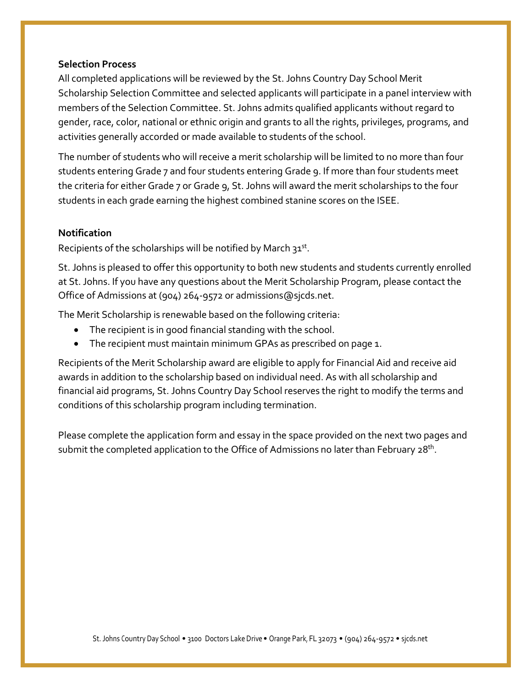## **Selection Process**

All completed applications will be reviewed by the St. Johns Country Day School Merit Scholarship Selection Committee and selected applicants will participate in a panel interview with members of the Selection Committee. St. Johns admits qualified applicants without regard to gender, race, color, national or ethnic origin and grants to all the rights, privileges, programs, and activities generally accorded or made available to students of the school.

The number of students who will receive a merit scholarship will be limited to no more than four students entering Grade 7 and four students entering Grade 9. If more than four students meet the criteria for either Grade 7 or Grade 9, St. Johns will award the merit scholarships to the four students in each grade earning the highest combined stanine scores on the ISEE.

## **Notification**

Recipients of the scholarships will be notified by March 31st.

St. Johns is pleased to offer this opportunity to both new students and students currently enrolled at St. Johns. If you have any questions about the Merit Scholarship Program, please contact the Office of Admissions at (904) 264-9572 or admissions@sjcds.net.

The Merit Scholarship is renewable based on the following criteria:

- The recipient is in good financial standing with the school.
- The recipient must maintain minimum GPAs as prescribed on page 1.

Recipients of the Merit Scholarship award are eligible to apply for Financial Aid and receive aid awards in addition to the scholarship based on individual need. As with all scholarship and financial aid programs, St. Johns Country Day School reserves the right to modify the terms and conditions of this scholarship program including termination.

Please complete the application form and essay in the space provided on the next two pages and submit the completed application to the Office of Admissions no later than February 28<sup>th</sup>.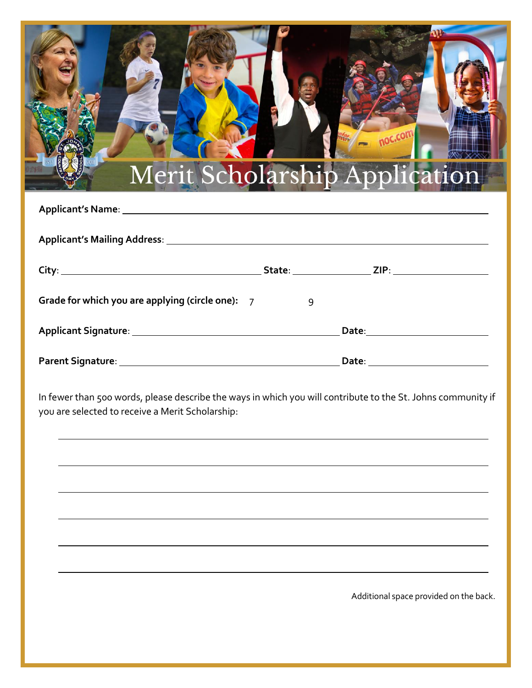

| Grade for which you are applying (circle one): $7$ | q     |  |
|----------------------------------------------------|-------|--|
| <b>Applicant Signature:</b>                        | Date: |  |
| <b>Parent Signature:</b>                           | Date: |  |

In fewer than 500 words, please describe the ways in which you will contribute to the St. Johns community if you are selected to receive a Merit Scholarship:

Additional space provided on the back.